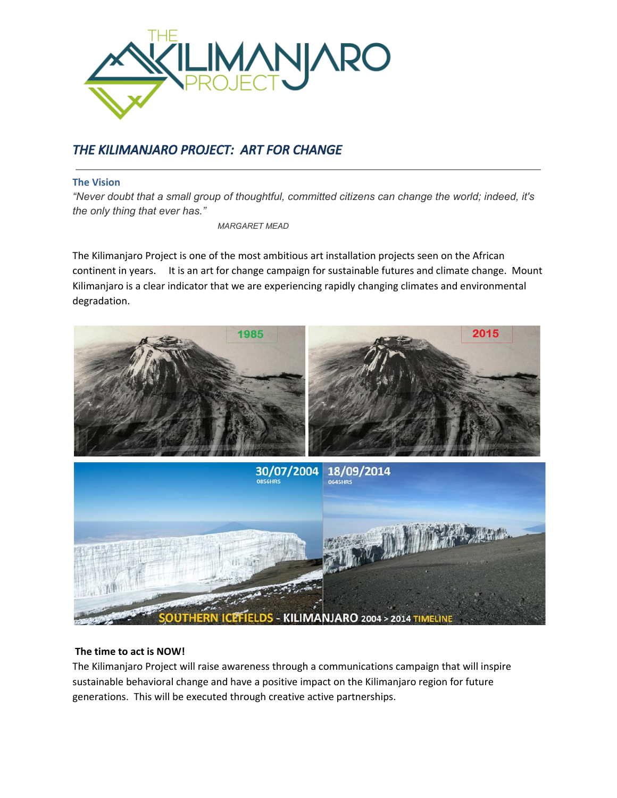

# THE KILIMANJARO PROJECT: ART FOR CHANGE

## The Vision

*"Never doubt that a small group of thoughtful, committed citizens can change the world; indeed, it's the only thing that ever has."*

*MARGARET MEAD*

The Kilimanjaro Project is one of the most ambitious art installation projects seen on the African continent in years. It is an art for change campaign for sustainable futures and climate change. Mount Kilimanjaro is a clear indicator that we are experiencing rapidly changing climates and environmental degradation.



## The time to act is NOW!

The Kilimanjaro Project will raise awareness through a communications campaign that will inspire sustainable behavioral change and have a positive impact on the Kilimanjaro region for future generations. This will be executed through creative active partnerships.